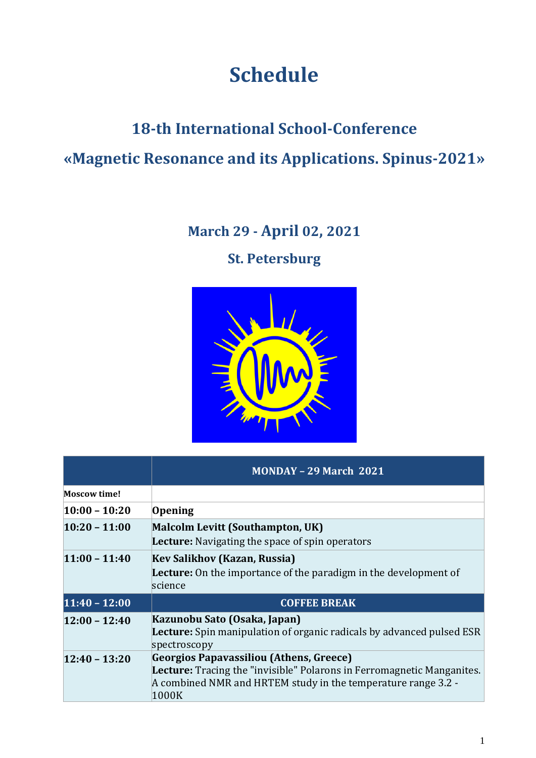## **Schedule**

# **18-th International School-Conference «Magnetic Resonance and its Applications. Spinus-2021»**

### **March 29 - April 02, 2021**

**St. Petersburg**



|                     | <b>MONDAY - 29 March 2021</b>                                                                                                                           |  |
|---------------------|---------------------------------------------------------------------------------------------------------------------------------------------------------|--|
| <b>Moscow time!</b> |                                                                                                                                                         |  |
| $10:00 - 10:20$     | Opening                                                                                                                                                 |  |
| $10:20 - 11:00$     | <b>Malcolm Levitt (Southampton, UK)</b>                                                                                                                 |  |
|                     | <b>Lecture:</b> Navigating the space of spin operators                                                                                                  |  |
| $11:00 - 11:40$     | Kev Salikhov (Kazan, Russia)                                                                                                                            |  |
|                     | <b>Lecture:</b> On the importance of the paradigm in the development of                                                                                 |  |
|                     | science                                                                                                                                                 |  |
| $11:40 - 12:00$     | <b>COFFEE BREAK</b>                                                                                                                                     |  |
| $12:00 - 12:40$     | Kazunobu Sato (Osaka, Japan)                                                                                                                            |  |
|                     | <b>Lecture:</b> Spin manipulation of organic radicals by advanced pulsed ESR<br>spectroscopy                                                            |  |
| $12:40 - 13:20$     | Georgios Papavassiliou (Athens, Greece)                                                                                                                 |  |
|                     | <b>Lecture:</b> Tracing the "invisible" Polarons in Ferromagnetic Manganites.<br>A combined NMR and HRTEM study in the temperature range 3.2 -<br>1000K |  |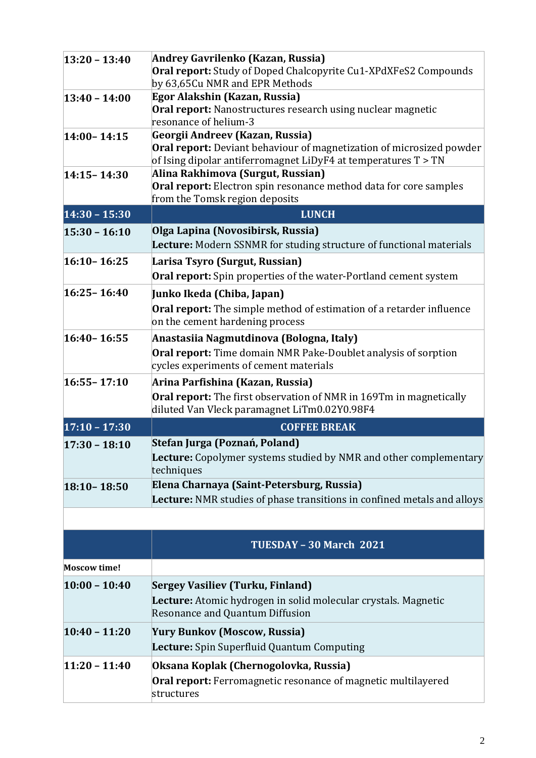| $13:20 - 13:40$     | Andrey Gavrilenko (Kazan, Russia)                                                                                                      |  |
|---------------------|----------------------------------------------------------------------------------------------------------------------------------------|--|
|                     | <b>Oral report:</b> Study of Doped Chalcopyrite Cu1-XPdXFeS2 Compounds<br>by 63,65Cu NMR and EPR Methods                               |  |
| $13:40 - 14:00$     | Egor Alakshin (Kazan, Russia)                                                                                                          |  |
|                     | Oral report: Nanostructures research using nuclear magnetic                                                                            |  |
|                     | resonance of helium-3                                                                                                                  |  |
| $14:00 - 14:15$     | Georgii Andreev (Kazan, Russia)                                                                                                        |  |
|                     | Oral report: Deviant behaviour of magnetization of microsized powder<br>of Ising dipolar antiferromagnet LiDyF4 at temperatures T > TN |  |
| $14:15 - 14:30$     | Alina Rakhimova (Surgut, Russian)                                                                                                      |  |
|                     | <b>Oral report:</b> Electron spin resonance method data for core samples                                                               |  |
|                     | from the Tomsk region deposits                                                                                                         |  |
| $14:30 - 15:30$     | <b>LUNCH</b>                                                                                                                           |  |
| $15:30 - 16:10$     | Olga Lapina (Novosibirsk, Russia)                                                                                                      |  |
|                     | Lecture: Modern SSNMR for studing structure of functional materials                                                                    |  |
| $16:10 - 16:25$     | Larisa Tsyro (Surgut, Russian)                                                                                                         |  |
|                     | Oral report: Spin properties of the water-Portland cement system                                                                       |  |
| $16:25 - 16:40$     | Junko Ikeda (Chiba, Japan)                                                                                                             |  |
|                     | <b>Oral report:</b> The simple method of estimation of a retarder influence                                                            |  |
|                     | on the cement hardening process                                                                                                        |  |
| 16:40 - 16:55       | Anastasiia Nagmutdinova (Bologna, Italy)                                                                                               |  |
|                     | <b>Oral report:</b> Time domain NMR Pake-Doublet analysis of sorption                                                                  |  |
|                     | cycles experiments of cement materials                                                                                                 |  |
| $16:55 - 17:10$     | Arina Parfishina (Kazan, Russia)                                                                                                       |  |
|                     | <b>Oral report:</b> The first observation of NMR in 169Tm in magnetically                                                              |  |
|                     | diluted Van Vleck paramagnet LiTm0.02Y0.98F4                                                                                           |  |
| $17:10 - 17:30$     | <b>COFFEE BREAK</b>                                                                                                                    |  |
| $17:30 - 18:10$     | Stefan Jurga (Poznań, Poland)                                                                                                          |  |
|                     | <b>Lecture:</b> Copolymer systems studied by NMR and other complementary<br>techniques                                                 |  |
|                     | Elena Charnaya (Saint-Petersburg, Russia)                                                                                              |  |
| 18:10-18:50         | Lecture: NMR studies of phase transitions in confined metals and alloys                                                                |  |
|                     |                                                                                                                                        |  |
|                     |                                                                                                                                        |  |
|                     | TUESDAY - 30 March 2021                                                                                                                |  |
| <b>Moscow time!</b> |                                                                                                                                        |  |
| $10:00 - 10:40$     | <b>Sergey Vasiliev (Turku, Finland)</b>                                                                                                |  |
|                     | Lecture: Atomic hydrogen in solid molecular crystals. Magnetic                                                                         |  |
|                     | Resonance and Quantum Diffusion                                                                                                        |  |
| $10:40 - 11:20$     | <b>Yury Bunkov (Moscow, Russia)</b>                                                                                                    |  |
|                     | Lecture: Spin Superfluid Quantum Computing                                                                                             |  |
| $11:20 - 11:40$     | Oksana Koplak (Chernogolovka, Russia)                                                                                                  |  |
|                     | <b>Oral report:</b> Ferromagnetic resonance of magnetic multilayered                                                                   |  |
|                     | structures                                                                                                                             |  |
|                     |                                                                                                                                        |  |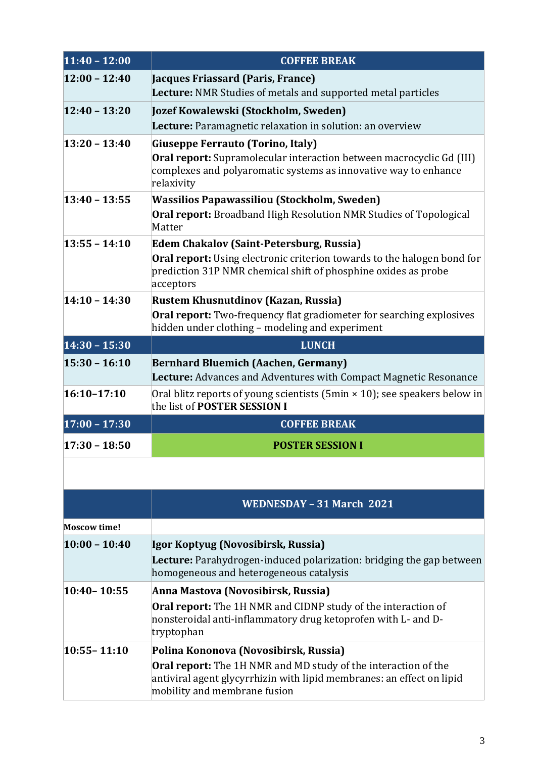| $11:40 - 12:00$     | <b>COFFEE BREAK</b>                                                                                                                                                            |  |  |
|---------------------|--------------------------------------------------------------------------------------------------------------------------------------------------------------------------------|--|--|
| $12:00 - 12:40$     | Jacques Friassard (Paris, France)<br><b>Lecture:</b> NMR Studies of metals and supported metal particles                                                                       |  |  |
| $12:40 - 13:20$     | Jozef Kowalewski (Stockholm, Sweden)                                                                                                                                           |  |  |
|                     | Lecture: Paramagnetic relaxation in solution: an overview                                                                                                                      |  |  |
| $13:20 - 13:40$     | Giuseppe Ferrauto (Torino, Italy)                                                                                                                                              |  |  |
|                     | <b>Oral report:</b> Supramolecular interaction between macrocyclic Gd (III)<br>complexes and polyaromatic systems as innovative way to enhance<br>relaxivity                   |  |  |
| $13:40 - 13:55$     | <b>Wassilios Papawassiliou (Stockholm, Sweden)</b>                                                                                                                             |  |  |
|                     | Oral report: Broadband High Resolution NMR Studies of Topological<br>Matter                                                                                                    |  |  |
| $13:55 - 14:10$     | <b>Edem Chakalov (Saint-Petersburg, Russia)</b>                                                                                                                                |  |  |
|                     | <b>Oral report:</b> Using electronic criterion towards to the halogen bond for<br>prediction 31P NMR chemical shift of phosphine oxides as probe<br>acceptors                  |  |  |
| $14:10 - 14:30$     | Rustem Khusnutdinov (Kazan, Russia)                                                                                                                                            |  |  |
|                     | <b>Oral report:</b> Two-frequency flat gradiometer for searching explosives<br>hidden under clothing - modeling and experiment                                                 |  |  |
| $14:30 - 15:30$     | <b>LUNCH</b>                                                                                                                                                                   |  |  |
| $15:30 - 16:10$     | <b>Bernhard Bluemich (Aachen, Germany)</b><br><b>Lecture:</b> Advances and Adventures with Compact Magnetic Resonance                                                          |  |  |
| $16:10 - 17:10$     | Oral blitz reports of young scientists (5 $min \times 10$ ); see speakers below in<br>the list of POSTER SESSION I                                                             |  |  |
| $17:00 - 17:30$     | <b>COFFEE BREAK</b>                                                                                                                                                            |  |  |
| $17:30 - 18:50$     | <b>POSTER SESSION I</b>                                                                                                                                                        |  |  |
|                     |                                                                                                                                                                                |  |  |
|                     | <b>WEDNESDAY - 31 March 2021</b>                                                                                                                                               |  |  |
| <b>Moscow time!</b> |                                                                                                                                                                                |  |  |
| $10:00 - 10:40$     | Igor Koptyug (Novosibirsk, Russia)                                                                                                                                             |  |  |
|                     | <b>Lecture:</b> Parahydrogen-induced polarization: bridging the gap between<br>homogeneous and heterogeneous catalysis                                                         |  |  |
| $10:40 - 10:55$     | Anna Mastova (Novosibirsk, Russia)                                                                                                                                             |  |  |
|                     | Oral report: The 1H NMR and CIDNP study of the interaction of<br>nonsteroidal anti-inflammatory drug ketoprofen with L- and D-<br>tryptophan                                   |  |  |
| $10:55 - 11:10$     | Polina Kononova (Novosibirsk, Russia)                                                                                                                                          |  |  |
|                     | <b>Oral report:</b> The 1H NMR and MD study of the interaction of the<br>antiviral agent glycyrrhizin with lipid membranes: an effect on lipid<br>mobility and membrane fusion |  |  |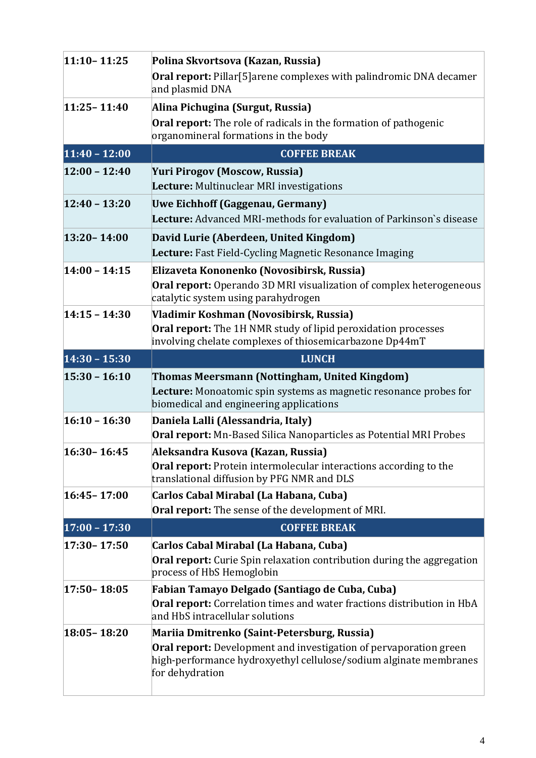| $11:10 - 11:25$ | Polina Skvortsova (Kazan, Russia)<br><b>Oral report:</b> Pillar[5] arene complexes with palindromic DNA decamer<br>and plasmid DNA                                        |  |  |
|-----------------|---------------------------------------------------------------------------------------------------------------------------------------------------------------------------|--|--|
| $11:25 - 11:40$ | Alina Pichugina (Surgut, Russia)<br>Oral report: The role of radicals in the formation of pathogenic<br>organomineral formations in the body                              |  |  |
| $11:40 - 12:00$ | <b>COFFEE BREAK</b>                                                                                                                                                       |  |  |
| $12:00 - 12:40$ | Yuri Pirogov (Moscow, Russia)<br>Lecture: Multinuclear MRI investigations                                                                                                 |  |  |
| $12:40 - 13:20$ | Uwe Eichhoff (Gaggenau, Germany)<br>Lecture: Advanced MRI-methods for evaluation of Parkinson's disease                                                                   |  |  |
| $13:20 - 14:00$ | David Lurie (Aberdeen, United Kingdom)<br>Lecture: Fast Field-Cycling Magnetic Resonance Imaging                                                                          |  |  |
| $14:00 - 14:15$ | Elizaveta Kononenko (Novosibirsk, Russia)<br><b>Oral report:</b> Operando 3D MRI visualization of complex heterogeneous<br>catalytic system using parahydrogen            |  |  |
| $14:15 - 14:30$ | Vladimir Koshman (Novosibirsk, Russia)<br><b>Oral report:</b> The 1H NMR study of lipid peroxidation processes<br>involving chelate complexes of thiosemicarbazone Dp44mT |  |  |
| $14:30 - 15:30$ | <b>LUNCH</b>                                                                                                                                                              |  |  |
| $15:30 - 16:10$ | Thomas Meersmann (Nottingham, United Kingdom)<br>Lecture: Monoatomic spin systems as magnetic resonance probes for                                                        |  |  |
|                 | biomedical and engineering applications                                                                                                                                   |  |  |
| $16:10 - 16:30$ | Daniela Lalli (Alessandria, Italy)<br>Oral report: Mn-Based Silica Nanoparticles as Potential MRI Probes                                                                  |  |  |
| $16:30 - 16:45$ | Aleksandra Kusova (Kazan, Russia)<br><b>Oral report:</b> Protein intermolecular interactions according to the<br>translational diffusion by PFG NMR and DLS               |  |  |
| $16:45 - 17:00$ | Carlos Cabal Mirabal (La Habana, Cuba)<br>Oral report: The sense of the development of MRI.                                                                               |  |  |
| $17:00 - 17:30$ | <b>COFFEE BREAK</b>                                                                                                                                                       |  |  |
| $17:30 - 17:50$ | Carlos Cabal Mirabal (La Habana, Cuba)<br><b>Oral report:</b> Curie Spin relaxation contribution during the aggregation<br>process of HbS Hemoglobin                      |  |  |
| $17:50 - 18:05$ | Fabian Tamayo Delgado (Santiago de Cuba, Cuba)<br>Oral report: Correlation times and water fractions distribution in HbA<br>and HbS intracellular solutions               |  |  |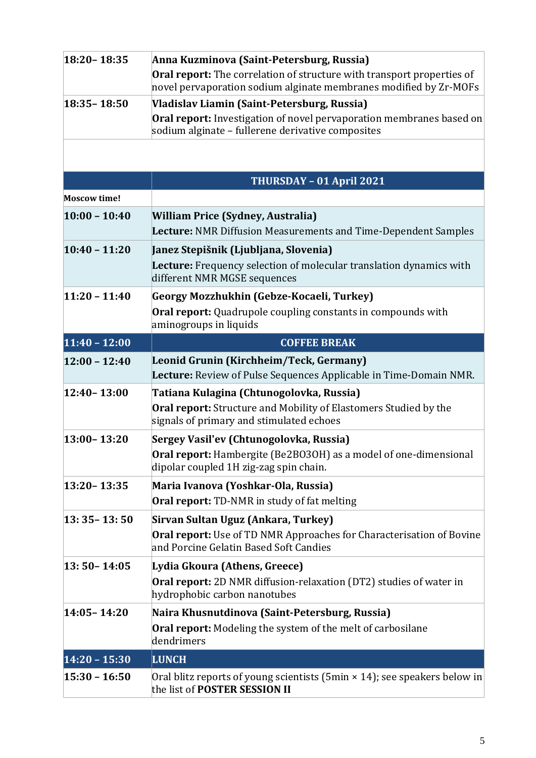| 18:20 - 18:35<br>Anna Kuzminova (Saint-Petersburg, Russia) |                                                                                                                                                              |  |
|------------------------------------------------------------|--------------------------------------------------------------------------------------------------------------------------------------------------------------|--|
|                                                            | <b>Oral report:</b> The correlation of structure with transport properties of<br>novel pervaporation sodium alginate membranes modified by Zr-MOFs           |  |
| $18:35 - 18:50$                                            | Vladislav Liamin (Saint-Petersburg, Russia)                                                                                                                  |  |
|                                                            | <b>Oral report:</b> Investigation of novel pervaporation membranes based on<br>sodium alginate - fullerene derivative composites                             |  |
|                                                            |                                                                                                                                                              |  |
|                                                            | THURSDAY - 01 April 2021                                                                                                                                     |  |
| <b>Moscow time!</b>                                        |                                                                                                                                                              |  |
| $10:00 - 10:40$                                            | <b>William Price (Sydney, Australia)</b><br>Lecture: NMR Diffusion Measurements and Time-Dependent Samples                                                   |  |
| $10:40 - 11:20$                                            | Janez Stepišnik (Ljubljana, Slovenia)                                                                                                                        |  |
|                                                            | Lecture: Frequency selection of molecular translation dynamics with<br>different NMR MGSE sequences                                                          |  |
| $11:20 - 11:40$                                            | Georgy Mozzhukhin (Gebze-Kocaeli, Turkey)                                                                                                                    |  |
|                                                            | <b>Oral report:</b> Quadrupole coupling constants in compounds with<br>aminogroups in liquids                                                                |  |
| $11:40 - 12:00$                                            | <b>COFFEE BREAK</b>                                                                                                                                          |  |
| $12:00 - 12:40$                                            | Leonid Grunin (Kirchheim/Teck, Germany)<br>Lecture: Review of Pulse Sequences Applicable in Time-Domain NMR.                                                 |  |
| $12:40 - 13:00$                                            | Tatiana Kulagina (Chtunogolovka, Russia)                                                                                                                     |  |
|                                                            | <b>Oral report:</b> Structure and Mobility of Elastomers Studied by the<br>signals of primary and stimulated echoes                                          |  |
| $13:00 - 13:20$                                            | Sergey Vasil'ev (Chtunogolovka, Russia)                                                                                                                      |  |
|                                                            | Oral report: Hambergite (Be2BO3OH) as a model of one-dimensional<br>dipolar coupled 1H zig-zag spin chain.                                                   |  |
| $13:20 - 13:35$                                            | Maria Ivanova (Yoshkar-Ola, Russia)                                                                                                                          |  |
|                                                            | <b>Oral report:</b> TD-NMR in study of fat melting                                                                                                           |  |
| $13:35 - 13:50$                                            | Sirvan Sultan Uguz (Ankara, Turkey)<br><b>Oral report:</b> Use of TD NMR Approaches for Characterisation of Bovine<br>and Porcine Gelatin Based Soft Candies |  |
| $13:50 - 14:05$                                            | Lydia Gkoura (Athens, Greece)<br>Oral report: 2D NMR diffusion-relaxation (DT2) studies of water in<br>hydrophobic carbon nanotubes                          |  |
| 14:05-14:20                                                | Naira Khusnutdinova (Saint-Petersburg, Russia)                                                                                                               |  |
|                                                            | <b>Oral report:</b> Modeling the system of the melt of carbosilane<br>dendrimers                                                                             |  |
| $14:20 - 15:30$                                            | <b>LUNCH</b>                                                                                                                                                 |  |
| $15:30 - 16:50$                                            | Oral blitz reports of young scientists (5min × 14); see speakers below in<br>the list of POSTER SESSION II                                                   |  |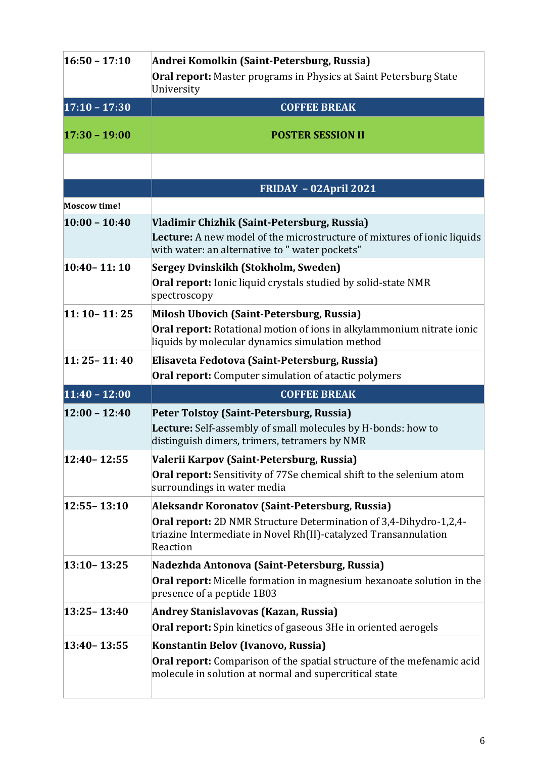| $16:50 - 17:10$     | Andrei Komolkin (Saint-Petersburg, Russia)                                                                                                                                    |  |
|---------------------|-------------------------------------------------------------------------------------------------------------------------------------------------------------------------------|--|
|                     | <b>Oral report:</b> Master programs in Physics at Saint Petersburg State<br>University                                                                                        |  |
| $17:10 - 17:30$     | <b>COFFEE BREAK</b>                                                                                                                                                           |  |
| $17:30 - 19:00$     | <b>POSTER SESSION II</b>                                                                                                                                                      |  |
|                     |                                                                                                                                                                               |  |
|                     | FRIDAY - 02April 2021                                                                                                                                                         |  |
| <b>Moscow time!</b> |                                                                                                                                                                               |  |
| $10:00 - 10:40$     | Vladimir Chizhik (Saint-Petersburg, Russia)<br>Lecture: A new model of the microstructure of mixtures of ionic liquids<br>with water: an alternative to " water pockets"      |  |
| $10:40 - 11:10$     | Sergey Dvinskikh (Stokholm, Sweden)<br><b>Oral report:</b> Ionic liquid crystals studied by solid-state NMR<br>spectroscopy                                                   |  |
| $11:10 - 11:25$     | Milosh Ubovich (Saint-Petersburg, Russia)<br>Oral report: Rotational motion of ions in alkylammonium nitrate ionic<br>liquids by molecular dynamics simulation method         |  |
| $11:25 - 11:40$     | Elisaveta Fedotova (Saint-Petersburg, Russia)                                                                                                                                 |  |
|                     | <b>Oral report:</b> Computer simulation of atactic polymers                                                                                                                   |  |
| $11:40 - 12:00$     | <b>COFFEE BREAK</b>                                                                                                                                                           |  |
| $12:00 - 12:40$     | Peter Tolstoy (Saint-Petersburg, Russia)<br>Lecture: Self-assembly of small molecules by H-bonds: how to<br>distinguish dimers, trimers, tetramers by NMR                     |  |
| 12:40-12:55         | Valerii Karpov (Saint-Petersburg, Russia)<br><b>Oral report:</b> Sensitivity of 77Se chemical shift to the selenium atom<br>surroundings in water media                       |  |
| $12:55 - 13:10$     | Aleksandr Koronatov (Saint-Petersburg, Russia)                                                                                                                                |  |
|                     | <b>Oral report:</b> 2D NMR Structure Determination of 3,4-Dihydro-1,2,4-<br>triazine Intermediate in Novel Rh(II)-catalyzed Transannulation<br>Reaction                       |  |
| $13:10 - 13:25$     | Nadezhda Antonova (Saint-Petersburg, Russia)                                                                                                                                  |  |
|                     | <b>Oral report:</b> Micelle formation in magnesium hexanoate solution in the<br>presence of a peptide 1B03                                                                    |  |
| $13:25 - 13:40$     | Andrey Stanislavovas (Kazan, Russia)                                                                                                                                          |  |
|                     | <b>Oral report:</b> Spin kinetics of gaseous 3He in oriented aerogels                                                                                                         |  |
| $13:40 - 13:55$     | Konstantin Belov (Ivanovo, Russia)<br><b>Oral report:</b> Comparison of the spatial structure of the mefenamic acid<br>molecule in solution at normal and supercritical state |  |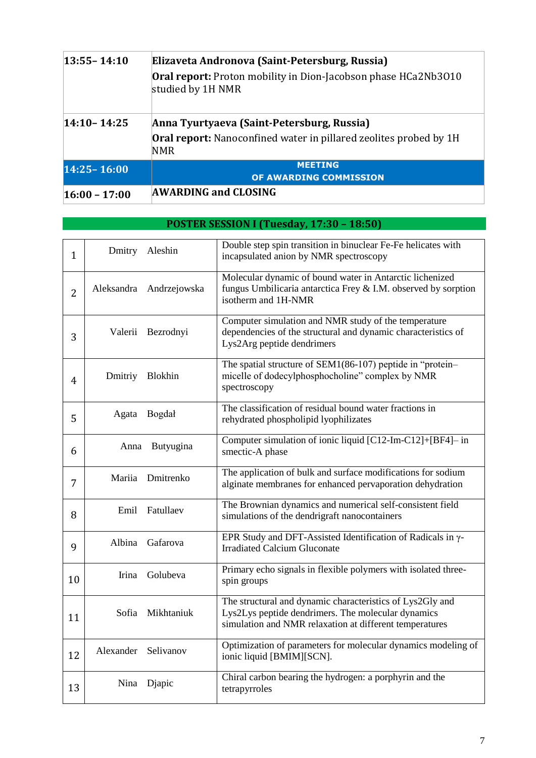| $13:55 - 14:10$ | Elizaveta Andronova (Saint-Petersburg, Russia)<br>Oral report: Proton mobility in Dion-Jacobson phase HCa2Nb3010<br>studied by 1H NMR |  |
|-----------------|---------------------------------------------------------------------------------------------------------------------------------------|--|
| $14:10 - 14:25$ | Anna Tyurtyaeva (Saint-Petersburg, Russia)<br>Oral report: Nanoconfined water in pillared zeolites probed by 1H<br>NMR                |  |
| 14:25 - 16:00   | <b>MEETING</b><br>OF AWARDING COMMISSION                                                                                              |  |
| $16:00 - 17:00$ | <b>AWARDING and CLOSING</b>                                                                                                           |  |

| $\mathbf{1}$   |            | Dmitry Aleshin | Double step spin transition in binuclear Fe-Fe helicates with<br>incapsulated anion by NMR spectroscopy                                                                    |
|----------------|------------|----------------|----------------------------------------------------------------------------------------------------------------------------------------------------------------------------|
| $\overline{2}$ | Aleksandra | Andrzejowska   | Molecular dynamic of bound water in Antarctic lichenized<br>fungus Umbilicaria antarctica Frey & I.M. observed by sorption<br>isotherm and 1H-NMR                          |
| 3              | Valerii    | Bezrodnyi      | Computer simulation and NMR study of the temperature<br>dependencies of the structural and dynamic characteristics of<br>Lys2Arg peptide dendrimers                        |
| 4              | Dmitriy    | Blokhin        | The spatial structure of SEM1(86-107) peptide in "protein-<br>micelle of dodecylphosphocholine" complex by NMR<br>spectroscopy                                             |
| 5              | Agata      | Bogdał         | The classification of residual bound water fractions in<br>rehydrated phospholipid lyophilizates                                                                           |
| 6              | Anna       | Butyugina      | Computer simulation of ionic liquid [C12-Im-C12]+[BF4]- in<br>smectic-A phase                                                                                              |
| 7              | Mariia     | Dmitrenko      | The application of bulk and surface modifications for sodium<br>alginate membranes for enhanced pervaporation dehydration                                                  |
| 8              | Emil       | Fatullaev      | The Brownian dynamics and numerical self-consistent field<br>simulations of the dendrigraft nanocontainers                                                                 |
| 9              | Albina     | Gafarova       | EPR Study and DFT-Assisted Identification of Radicals in y-<br><b>Irradiated Calcium Gluconate</b>                                                                         |
| 10             | Irina      | Golubeva       | Primary echo signals in flexible polymers with isolated three-<br>spin groups                                                                                              |
| 11             | Sofia      | Mikhtaniuk     | The structural and dynamic characteristics of Lys2Gly and<br>Lys2Lys peptide dendrimers. The molecular dynamics<br>simulation and NMR relaxation at different temperatures |
| 12             | Alexander  | Selivanov      | Optimization of parameters for molecular dynamics modeling of<br>ionic liquid [BMIM][SCN].                                                                                 |
| 13             | Nina       | Djapic         | Chiral carbon bearing the hydrogen: a porphyrin and the<br>tetrapyrroles                                                                                                   |

#### **POSTER SESSION I (Tuesday, 17:30 – 18:50)**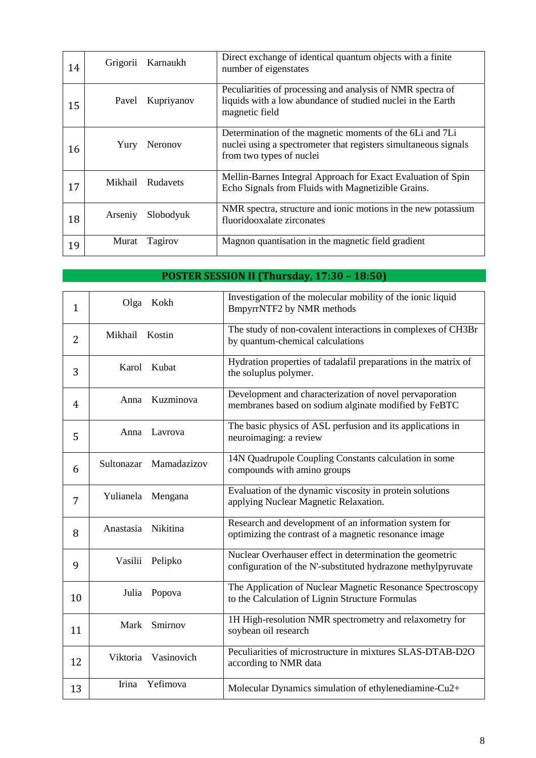| 14 | Grigorii | Karnaukh         | Direct exchange of identical quantum objects with a finite<br>number of eigenstates                                                                     |
|----|----------|------------------|---------------------------------------------------------------------------------------------------------------------------------------------------------|
| 15 | Pavel    | Kupriyanov       | Peculiarities of processing and analysis of NMR spectra of<br>liquids with a low abundance of studied nuclei in the Earth<br>magnetic field             |
| 16 | Yury     | Neronov          | Determination of the magnetic moments of the 6Li and 7Li<br>nuclei using a spectrometer that registers simultaneous signals<br>from two types of nuclei |
| 17 |          | Mikhail Rudavets | Mellin-Barnes Integral Approach for Exact Evaluation of Spin<br>Echo Signals from Fluids with Magnetizible Grains.                                      |
| 18 | Arseniy  | Slobodyuk        | NMR spectra, structure and ionic motions in the new potassium<br>fluoridooxalate zirconates                                                             |
| 19 | Murat    | Tagirov          | Magnon quantisation in the magnetic field gradient                                                                                                      |

### **POSTER SESSION II (Thursday, 17:30 – 18:50)**

| $\mathbf{1}$ | Olga Kokh                 | Investigation of the molecular mobility of the ionic liquid<br>BmpyrrNTF2 by NMR methods                                 |
|--------------|---------------------------|--------------------------------------------------------------------------------------------------------------------------|
| 2            | Mikhail Kostin            | The study of non-covalent interactions in complexes of CH3Br<br>by quantum-chemical calculations                         |
| 3            | Karol Kubat               | Hydration properties of tadalafil preparations in the matrix of<br>the soluplus polymer.                                 |
| 4            | Kuzminova<br>Anna         | Development and characterization of novel pervaporation<br>membranes based on sodium alginate modified by FeBTC          |
| 5            | Lavrova<br>Anna           | The basic physics of ASL perfusion and its applications in<br>neuroimaging: a review                                     |
| 6            | Mamadazizov<br>Sultonazar | 14N Quadrupole Coupling Constants calculation in some<br>compounds with amino groups                                     |
| 7            | Yulianela<br>Mengana      | Evaluation of the dynamic viscosity in protein solutions<br>applying Nuclear Magnetic Relaxation.                        |
| 8            | Anastasia Nikitina        | Research and development of an information system for<br>optimizing the contrast of a magnetic resonance image           |
| 9            | Vasilii Pelipko           | Nuclear Overhauser effect in determination the geometric<br>configuration of the N'-substituted hydrazone methylpyruvate |
| 10           | Julia<br>Popova           | The Application of Nuclear Magnetic Resonance Spectroscopy<br>to the Calculation of Lignin Structure Formulas            |
| 11           | Smirnov<br>Mark           | 1H High-resolution NMR spectrometry and relaxometry for<br>soybean oil research                                          |
| 12           | Viktoria Vasinovich       | Peculiarities of microstructure in mixtures SLAS-DTAB-D2O<br>according to NMR data                                       |
| 13           | Irina<br>Yefimova         | Molecular Dynamics simulation of ethylenediamine-Cu2+                                                                    |